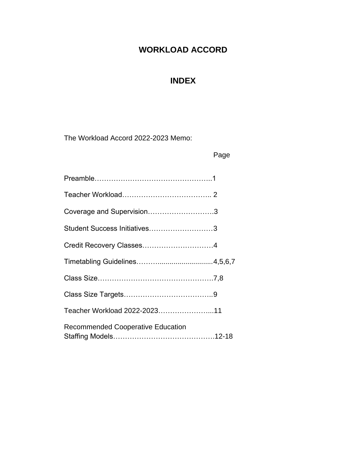# **WORKLOAD ACCORD**

# **INDEX**

The Workload Accord 2022-2023 Memo:

|                                          | Page |
|------------------------------------------|------|
|                                          |      |
|                                          |      |
| Coverage and Supervision3                |      |
| Student Success Initiatives3             |      |
|                                          |      |
|                                          |      |
|                                          |      |
|                                          |      |
| Teacher Workload 2022-202311             |      |
| <b>Recommended Cooperative Education</b> |      |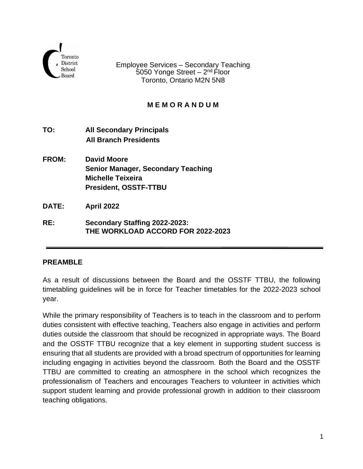

Employee Services – Secondary Teaching 5050 Yonge Street – 2<sup>nd</sup> Floor Toronto, Ontario M2N 5N8

### **M E M O R A N D U M**

- **TO: All Secondary Principals All Branch Presidents**
- **FROM: David Moore Senior Manager, Secondary Teaching Michelle Teixeira President, OSSTF-TTBU**

**DATE: April 2022**

**RE: Secondary Staffing 2022-2023: THE WORKLOAD ACCORD FOR 2022-2023**

#### **PREAMBLE**

As a result of discussions between the Board and the OSSTF TTBU, the following timetabling guidelines will be in force for Teacher timetables for the 2022-2023 school year.

While the primary responsibility of Teachers is to teach in the classroom and to perform duties consistent with effective teaching, Teachers also engage in activities and perform duties outside the classroom that should be recognized in appropriate ways. The Board and the OSSTF TTBU recognize that a key element in supporting student success is ensuring that all students are provided with a broad spectrum of opportunities for learning including engaging in activities beyond the classroom. Both the Board and the OSSTF TTBU are committed to creating an atmosphere in the school which recognizes the professionalism of Teachers and encourages Teachers to volunteer in activities which support student learning and provide professional growth in addition to their classroom teaching obligations.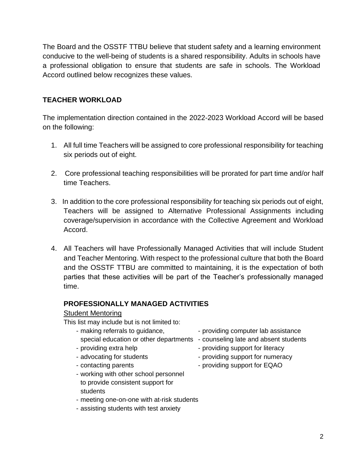The Board and the OSSTF TTBU believe that student safety and a learning environment conducive to the well-being of students is a shared responsibility. Adults in schools have a professional obligation to ensure that students are safe in schools. The Workload Accord outlined below recognizes these values.

### **TEACHER WORKLOAD**

The implementation direction contained in the 2022-2023 Workload Accord will be based on the following:

- 1. All full time Teachers will be assigned to core professional responsibility for teaching six periods out of eight.
- 2. Core professional teaching responsibilities will be prorated for part time and/or half time Teachers.
- 3. In addition to the core professional responsibility for teaching six periods out of eight, Teachers will be assigned to Alternative Professional Assignments including coverage/supervision in accordance with the Collective Agreement and Workload Accord.
- 4. All Teachers will have Professionally Managed Activities that will include Student and Teacher Mentoring. With respect to the professional culture that both the Board and the OSSTF TTBU are committed to maintaining, it is the expectation of both parties that these activities will be part of the Teacher's professionally managed time.

## **PROFESSIONALLY MANAGED ACTIVITIES**

#### Student Mentoring

This list may include but is not limited to:

- making referrals to guidance, example reproviding computer lab assistance special education or other departments - counseling late and absent students - providing extra help  $\overline{\phantom{a}}$  - providing support for literacy - advocating for students - providing support for numeracy
- 
- contacting parents providing support for EQAO
- -
- working with other school personnel to provide consistent support for students
- meeting one-on-one with at-risk students
- assisting students with test anxiety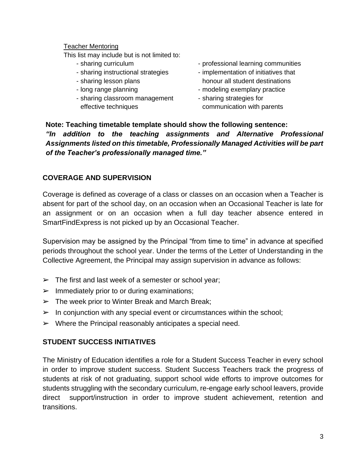#### Teacher Mentoring

This list may include but is not limited to:

- 
- 
- 
- 
- sharing classroom management sharing strategies for effective techniques effective techniques communication with parents
- sharing curriculum  $\blacksquare$  professional learning communities
- sharing instructional strategies implementation of initiatives that - sharing lesson plans honour all student destinations
- long range planning exemplary practice  $\blacksquare$ 
	-

### **Note: Teaching timetable template should show the following sentence:** *"In addition to the teaching assignments and Alternative Professional Assignments listed on this timetable, Professionally Managed Activities will be part of the Teacher's professionally managed time."*

#### **COVERAGE AND SUPERVISION**

Coverage is defined as coverage of a class or classes on an occasion when a Teacher is absent for part of the school day, on an occasion when an Occasional Teacher is late for an assignment or on an occasion when a full day teacher absence entered in SmartFindExpress is not picked up by an Occasional Teacher.

Supervision may be assigned by the Principal "from time to time" in advance at specified periods throughout the school year. Under the terms of the Letter of Understanding in the Collective Agreement, the Principal may assign supervision in advance as follows:

- $\triangleright$  The first and last week of a semester or school year;
- $\triangleright$  Immediately prior to or during examinations;
- $\triangleright$  The week prior to Winter Break and March Break;
- $\triangleright$  In conjunction with any special event or circumstances within the school;
- $\triangleright$  Where the Principal reasonably anticipates a special need.

#### **STUDENT SUCCESS INITIATIVES**

The Ministry of Education identifies a role for a Student Success Teacher in every school in order to improve student success. Student Success Teachers track the progress of students at risk of not graduating, support school wide efforts to improve outcomes for students struggling with the secondary curriculum, re-engage early school leavers, provide direct support/instruction in order to improve student achievement, retention and transitions.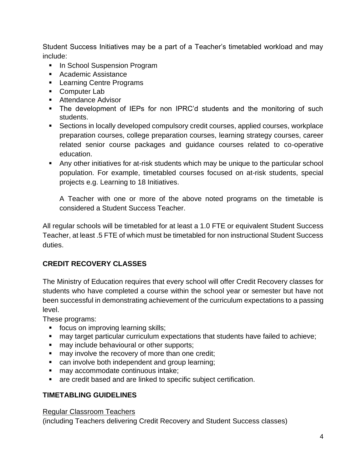Student Success Initiatives may be a part of a Teacher's timetabled workload and may include:

- **In School Suspension Program**
- Academic Assistance
- Learning Centre Programs
- Computer Lab
- Attendance Advisor
- The development of IEPs for non IPRC'd students and the monitoring of such students.
- Sections in locally developed compulsory credit courses, applied courses, workplace preparation courses, college preparation courses, learning strategy courses, career related senior course packages and guidance courses related to co-operative education.
- Any other initiatives for at-risk students which may be unique to the particular school population. For example, timetabled courses focused on at-risk students, special projects e.g. Learning to 18 Initiatives.

A Teacher with one or more of the above noted programs on the timetable is considered a Student Success Teacher.

All regular schools will be timetabled for at least a 1.0 FTE or equivalent Student Success Teacher, at least .5 FTE of which must be timetabled for non instructional Student Success duties.

## **CREDIT RECOVERY CLASSES**

The Ministry of Education requires that every school will offer Credit Recovery classes for students who have completed a course within the school year or semester but have not been successful in demonstrating achievement of the curriculum expectations to a passing level.

These programs:

- focus on improving learning skills;
- may target particular curriculum expectations that students have failed to achieve;
- may include behavioural or other supports;
- may involve the recovery of more than one credit;
- can involve both independent and group learning;
- may accommodate continuous intake;
- are credit based and are linked to specific subject certification.

## **TIMETABLING GUIDELINES**

#### Regular Classroom Teachers

(including Teachers delivering Credit Recovery and Student Success classes)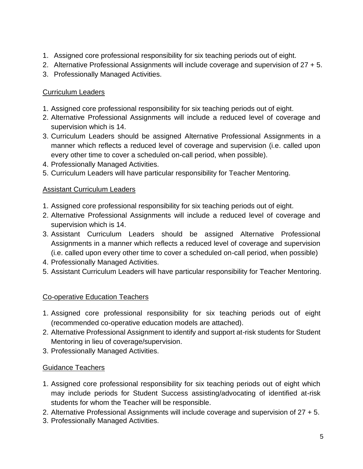- 1. Assigned core professional responsibility for six teaching periods out of eight.
- 2. Alternative Professional Assignments will include coverage and supervision of 27 + 5.
- 3. Professionally Managed Activities.

### Curriculum Leaders

- 1. Assigned core professional responsibility for six teaching periods out of eight.
- 2. Alternative Professional Assignments will include a reduced level of coverage and supervision which is 14.
- 3. Curriculum Leaders should be assigned Alternative Professional Assignments in a manner which reflects a reduced level of coverage and supervision (i.e. called upon every other time to cover a scheduled on-call period, when possible).
- 4. Professionally Managed Activities.
- 5. Curriculum Leaders will have particular responsibility for Teacher Mentoring.

#### **Assistant Curriculum Leaders**

- 1. Assigned core professional responsibility for six teaching periods out of eight.
- 2. Alternative Professional Assignments will include a reduced level of coverage and supervision which is 14.
- 3. Assistant Curriculum Leaders should be assigned Alternative Professional Assignments in a manner which reflects a reduced level of coverage and supervision (i.e. called upon every other time to cover a scheduled on-call period, when possible)
- 4. Professionally Managed Activities.
- 5. Assistant Curriculum Leaders will have particular responsibility for Teacher Mentoring.

#### Co-operative Education Teachers

- 1. Assigned core professional responsibility for six teaching periods out of eight (recommended co-operative education models are attached).
- 2. Alternative Professional Assignment to identify and support at-risk students for Student Mentoring in lieu of coverage/supervision.
- 3. Professionally Managed Activities.

#### Guidance Teachers

- 1. Assigned core professional responsibility for six teaching periods out of eight which may include periods for Student Success assisting/advocating of identified at-risk students for whom the Teacher will be responsible.
- 2. Alternative Professional Assignments will include coverage and supervision of 27 + 5.
- 3. Professionally Managed Activities.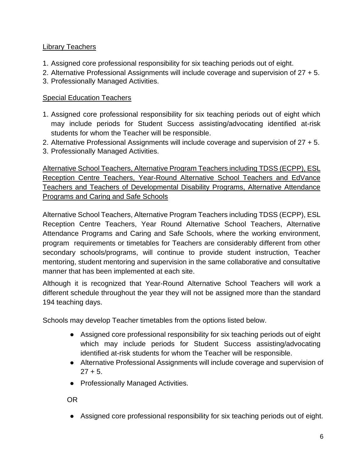## Library Teachers

- 1. Assigned core professional responsibility for six teaching periods out of eight.
- 2. Alternative Professional Assignments will include coverage and supervision of 27 + 5.
- 3. Professionally Managed Activities.

### Special Education Teachers

- 1. Assigned core professional responsibility for six teaching periods out of eight which may include periods for Student Success assisting/advocating identified at-risk students for whom the Teacher will be responsible.
- 2. Alternative Professional Assignments will include coverage and supervision of 27 + 5.
- 3. Professionally Managed Activities.

Alternative School Teachers, Alternative Program Teachers including TDSS (ECPP), ESL Reception Centre Teachers, Year-Round Alternative School Teachers and EdVance Teachers and Teachers of Developmental Disability Programs, Alternative Attendance Programs and Caring and Safe Schools

Alternative School Teachers, Alternative Program Teachers including TDSS (ECPP), ESL Reception Centre Teachers, Year Round Alternative School Teachers, Alternative Attendance Programs and Caring and Safe Schools, where the working environment, program requirements or timetables for Teachers are considerably different from other secondary schools/programs, will continue to provide student instruction, Teacher mentoring, student mentoring and supervision in the same collaborative and consultative manner that has been implemented at each site.

Although it is recognized that Year-Round Alternative School Teachers will work a different schedule throughout the year they will not be assigned more than the standard 194 teaching days.

Schools may develop Teacher timetables from the options listed below.

- Assigned core professional responsibility for six teaching periods out of eight which may include periods for Student Success assisting/advocating identified at-risk students for whom the Teacher will be responsible.
- Alternative Professional Assignments will include coverage and supervision of  $27 + 5$ .
- Professionally Managed Activities.

OR

● Assigned core professional responsibility for six teaching periods out of eight.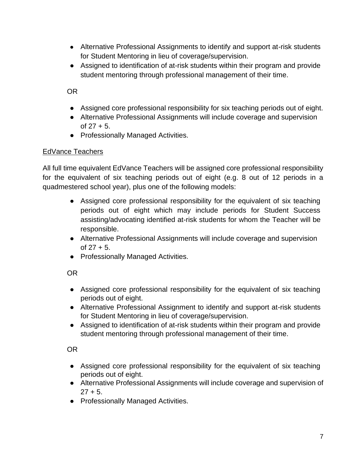- Alternative Professional Assignments to identify and support at-risk students for Student Mentoring in lieu of coverage/supervision.
- Assigned to identification of at-risk students within their program and provide student mentoring through professional management of their time.

OR

- Assigned core professional responsibility for six teaching periods out of eight.
- Alternative Professional Assignments will include coverage and supervision of  $27 + 5$ .
- Professionally Managed Activities.

#### EdVance Teachers

All full time equivalent EdVance Teachers will be assigned core professional responsibility for the equivalent of six teaching periods out of eight (e.g. 8 out of 12 periods in a quadmestered school year), plus one of the following models:

- Assigned core professional responsibility for the equivalent of six teaching periods out of eight which may include periods for Student Success assisting/advocating identified at-risk students for whom the Teacher will be responsible.
- Alternative Professional Assignments will include coverage and supervision of  $27 + 5$ .
- Professionally Managed Activities.

OR

- Assigned core professional responsibility for the equivalent of six teaching periods out of eight.
- Alternative Professional Assignment to identify and support at-risk students for Student Mentoring in lieu of coverage/supervision.
- Assigned to identification of at-risk students within their program and provide student mentoring through professional management of their time.

OR

- Assigned core professional responsibility for the equivalent of six teaching periods out of eight.
- Alternative Professional Assignments will include coverage and supervision of  $27 + 5$ .
- Professionally Managed Activities.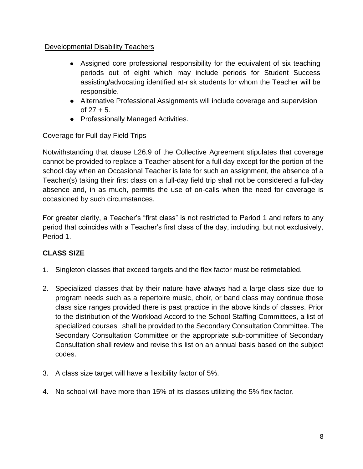### Developmental Disability Teachers

- Assigned core professional responsibility for the equivalent of six teaching periods out of eight which may include periods for Student Success assisting/advocating identified at-risk students for whom the Teacher will be responsible.
- Alternative Professional Assignments will include coverage and supervision of  $27 + 5$ .
- Professionally Managed Activities.

## Coverage for Full-day Field Trips

Notwithstanding that clause L26.9 of the Collective Agreement stipulates that coverage cannot be provided to replace a Teacher absent for a full day except for the portion of the school day when an Occasional Teacher is late for such an assignment, the absence of a Teacher(s) taking their first class on a full-day field trip shall not be considered a full-day absence and, in as much, permits the use of on-calls when the need for coverage is occasioned by such circumstances.

For greater clarity, a Teacher's "first class" is not restricted to Period 1 and refers to any period that coincides with a Teacher's first class of the day, including, but not exclusively, Period 1.

## **CLASS SIZE**

- 1. Singleton classes that exceed targets and the flex factor must be retimetabled.
- 2. Specialized classes that by their nature have always had a large class size due to program needs such as a repertoire music, choir, or band class may continue those class size ranges provided there is past practice in the above kinds of classes. Prior to the distribution of the Workload Accord to the School Staffing Committees, a list of specialized courses shall be provided to the Secondary Consultation Committee. The Secondary Consultation Committee or the appropriate sub-committee of Secondary Consultation shall review and revise this list on an annual basis based on the subject codes.
- 3. A class size target will have a flexibility factor of 5%.
- 4. No school will have more than 15% of its classes utilizing the 5% flex factor.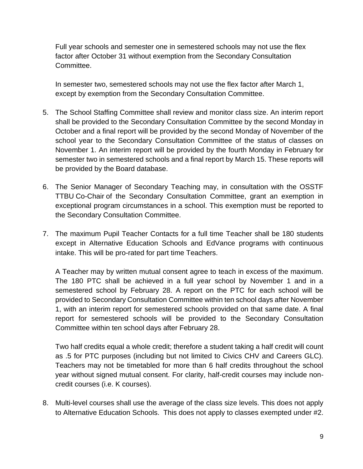Full year schools and semester one in semestered schools may not use the flex factor after October 31 without exemption from the Secondary Consultation Committee.

In semester two, semestered schools may not use the flex factor after March 1, except by exemption from the Secondary Consultation Committee.

- 5. The School Staffing Committee shall review and monitor class size. An interim report shall be provided to the Secondary Consultation Committee by the second Monday in October and a final report will be provided by the second Monday of November of the school year to the Secondary Consultation Committee of the status of classes on November 1. An interim report will be provided by the fourth Monday in February for semester two in semestered schools and a final report by March 15. These reports will be provided by the Board database.
- 6. The Senior Manager of Secondary Teaching may, in consultation with the OSSTF TTBU Co-Chair of the Secondary Consultation Committee, grant an exemption in exceptional program circumstances in a school. This exemption must be reported to the Secondary Consultation Committee.
- 7. The maximum Pupil Teacher Contacts for a full time Teacher shall be 180 students except in Alternative Education Schools and EdVance programs with continuous intake. This will be pro-rated for part time Teachers.

A Teacher may by written mutual consent agree to teach in excess of the maximum. The 180 PTC shall be achieved in a full year school by November 1 and in a semestered school by February 28. A report on the PTC for each school will be provided to Secondary Consultation Committee within ten school days after November 1, with an interim report for semestered schools provided on that same date. A final report for semestered schools will be provided to the Secondary Consultation Committee within ten school days after February 28.

Two half credits equal a whole credit; therefore a student taking a half credit will count as .5 for PTC purposes (including but not limited to Civics CHV and Careers GLC). Teachers may not be timetabled for more than 6 half credits throughout the school year without signed mutual consent. For clarity, half-credit courses may include noncredit courses (i.e. K courses).

8. Multi-level courses shall use the average of the class size levels. This does not apply to Alternative Education Schools. This does not apply to classes exempted under #2.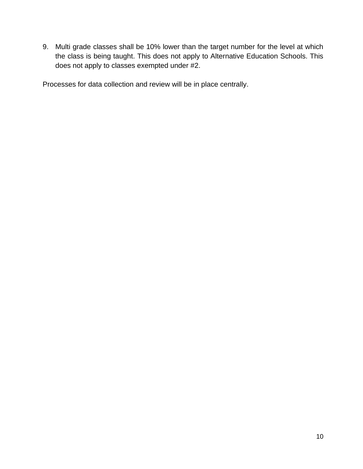9. Multi grade classes shall be 10% lower than the target number for the level at which the class is being taught. This does not apply to Alternative Education Schools. This does not apply to classes exempted under #2.

Processes for data collection and review will be in place centrally.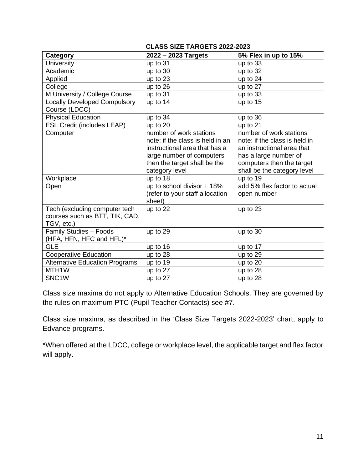#### **CLASS SIZE TARGETS 2022-2023**

| Category                              | 2022 - 2023 Targets              | 5% Flex in up to 15%          |
|---------------------------------------|----------------------------------|-------------------------------|
|                                       |                                  |                               |
| <b>University</b>                     | up to 31                         | up to 33                      |
| Academic                              | up to 30                         | up to 32                      |
| Applied                               | up to 23                         | up to 24                      |
| College                               | up to 26                         | up to 27                      |
| M University / College Course         | up to 31                         | up to 33                      |
| <b>Locally Developed Compulsory</b>   | up to 14                         | up to 15                      |
| Course (LDCC)                         |                                  |                               |
| <b>Physical Education</b>             | up to 34                         | up to 36                      |
| <b>ESL Credit (includes LEAP)</b>     | up to 20                         | up to 21                      |
| Computer                              | number of work stations          | number of work stations       |
|                                       | note: if the class is held in an | note: if the class is held in |
|                                       | instructional area that has a    | an instructional area that    |
|                                       | large number of computers        | has a large number of         |
|                                       | then the target shall be the     | computers then the target     |
|                                       | category level                   | shall be the category level   |
| Workplace                             | up to 18                         | up to 19                      |
| Open                                  | up to school divisor + 18%       | add 5% flex factor to actual  |
|                                       | (refer to your staff allocation  | open number                   |
|                                       | sheet)                           |                               |
| Tech (excluding computer tech         | up to 22                         | up to 23                      |
| courses such as BTT, TIK, CAD,        |                                  |                               |
| TGV, etc.)                            |                                  |                               |
| Family Studies - Foods                | up to 29                         | up to 30                      |
| (HFA, HFN, HFC and HFL)*              |                                  |                               |
| <b>GLE</b>                            | up to 16                         | up to 17                      |
| <b>Cooperative Education</b>          | up to 28                         | up to 29                      |
| <b>Alternative Education Programs</b> | up to 19                         | up to 20                      |
| MTH1W                                 | up to 27                         | up to 28                      |
| SNC <sub>1</sub> W                    | up to 27                         | up to 28                      |

Class size maxima do not apply to Alternative Education Schools. They are governed by the rules on maximum PTC (Pupil Teacher Contacts) see #7.

Class size maxima, as described in the 'Class Size Targets 2022-2023' chart, apply to Edvance programs.

\*When offered at the LDCC, college or workplace level, the applicable target and flex factor will apply.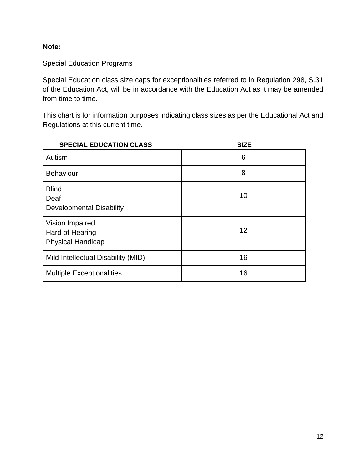**Note:**

### Special Education Programs

Special Education class size caps for exceptionalities referred to in Regulation 298, S.31 of the Education Act, will be in accordance with the Education Act as it may be amended from time to time.

This chart is for information purposes indicating class sizes as per the Educational Act and Regulations at this current time.

| <b>SPECIAL EDUCATION CLASS</b>                                 | <b>SIZE</b> |
|----------------------------------------------------------------|-------------|
| Autism                                                         | 6           |
| <b>Behaviour</b>                                               | 8           |
| <b>Blind</b><br>Deaf<br><b>Developmental Disability</b>        | 10          |
| Vision Impaired<br>Hard of Hearing<br><b>Physical Handicap</b> | 12          |
| Mild Intellectual Disability (MID)                             | 16          |
| <b>Multiple Exceptionalities</b>                               | 16          |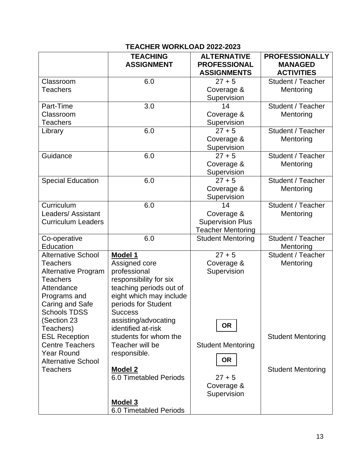### **TEACHER WORKLOAD 2022-2023**

|                            | <b>TEACHING</b><br><b>ASSIGNMENT</b> | <b>ALTERNATIVE</b><br><b>PROFESSIONAL</b><br><b>ASSIGNMENTS</b> | <b>PROFESSIONALLY</b><br><b>MANAGED</b><br><b>ACTIVITIES</b> |
|----------------------------|--------------------------------------|-----------------------------------------------------------------|--------------------------------------------------------------|
| Classroom                  | 6.0                                  | $27 + 5$                                                        | Student / Teacher                                            |
| Teachers                   |                                      | Coverage &                                                      | Mentoring                                                    |
|                            |                                      | Supervision                                                     |                                                              |
| Part-Time                  | 3.0                                  | 14                                                              | Student / Teacher                                            |
| Classroom                  |                                      | Coverage &                                                      | Mentoring                                                    |
| <b>Teachers</b>            |                                      | Supervision                                                     |                                                              |
| Library                    | 6.0                                  | $27 + 5$                                                        | Student / Teacher                                            |
|                            |                                      | Coverage &                                                      | Mentoring                                                    |
|                            |                                      | Supervision                                                     |                                                              |
| Guidance                   | 6.0                                  | $27 + 5$                                                        | Student / Teacher                                            |
|                            |                                      | Coverage &                                                      | Mentoring                                                    |
|                            |                                      | Supervision                                                     |                                                              |
| <b>Special Education</b>   | 6.0                                  | $27 + 5$                                                        | Student / Teacher                                            |
|                            |                                      | Coverage &                                                      | Mentoring                                                    |
|                            |                                      | Supervision                                                     |                                                              |
| Curriculum                 | 6.0                                  | 14                                                              | Student / Teacher                                            |
| Leaders/Assistant          |                                      | Coverage &                                                      | Mentoring                                                    |
| <b>Curriculum Leaders</b>  |                                      | <b>Supervision Plus</b>                                         |                                                              |
|                            |                                      | <b>Teacher Mentoring</b>                                        |                                                              |
| Co-operative<br>Education  | 6.0                                  | <b>Student Mentoring</b>                                        | Student / Teacher<br>Mentoring                               |
| <b>Alternative School</b>  | Model 1                              | $27 + 5$                                                        | Student / Teacher                                            |
| <b>Teachers</b>            | Assigned core                        | Coverage &                                                      | Mentoring                                                    |
| <b>Alternative Program</b> | professional                         | Supervision                                                     |                                                              |
| <b>Teachers</b>            | responsibility for six               |                                                                 |                                                              |
| Attendance                 | teaching periods out of              |                                                                 |                                                              |
| Programs and               | eight which may include              |                                                                 |                                                              |
| Caring and Safe            | periods for Student                  |                                                                 |                                                              |
| <b>Schools TDSS</b>        | <b>Success</b>                       |                                                                 |                                                              |
| Section 23)                | assisting/advocating                 |                                                                 |                                                              |
| Teachers)                  | identified at-risk                   | <b>OR</b>                                                       |                                                              |
| <b>ESL Reception</b>       | students for whom the                |                                                                 | <b>Student Mentoring</b>                                     |
| <b>Centre Teachers</b>     | Teacher will be                      | <b>Student Mentoring</b>                                        |                                                              |
| <b>Year Round</b>          | responsible.                         |                                                                 |                                                              |
| <b>Alternative School</b>  |                                      | <b>OR</b>                                                       |                                                              |
| <b>Teachers</b>            | <b>Model 2</b>                       |                                                                 | <b>Student Mentoring</b>                                     |
|                            | 6.0 Timetabled Periods               | $27 + 5$                                                        |                                                              |
|                            |                                      | Coverage &                                                      |                                                              |
|                            |                                      | Supervision                                                     |                                                              |
|                            | <b>Model 3</b>                       |                                                                 |                                                              |
|                            | <b>6.0 Timetabled Periods</b>        |                                                                 |                                                              |